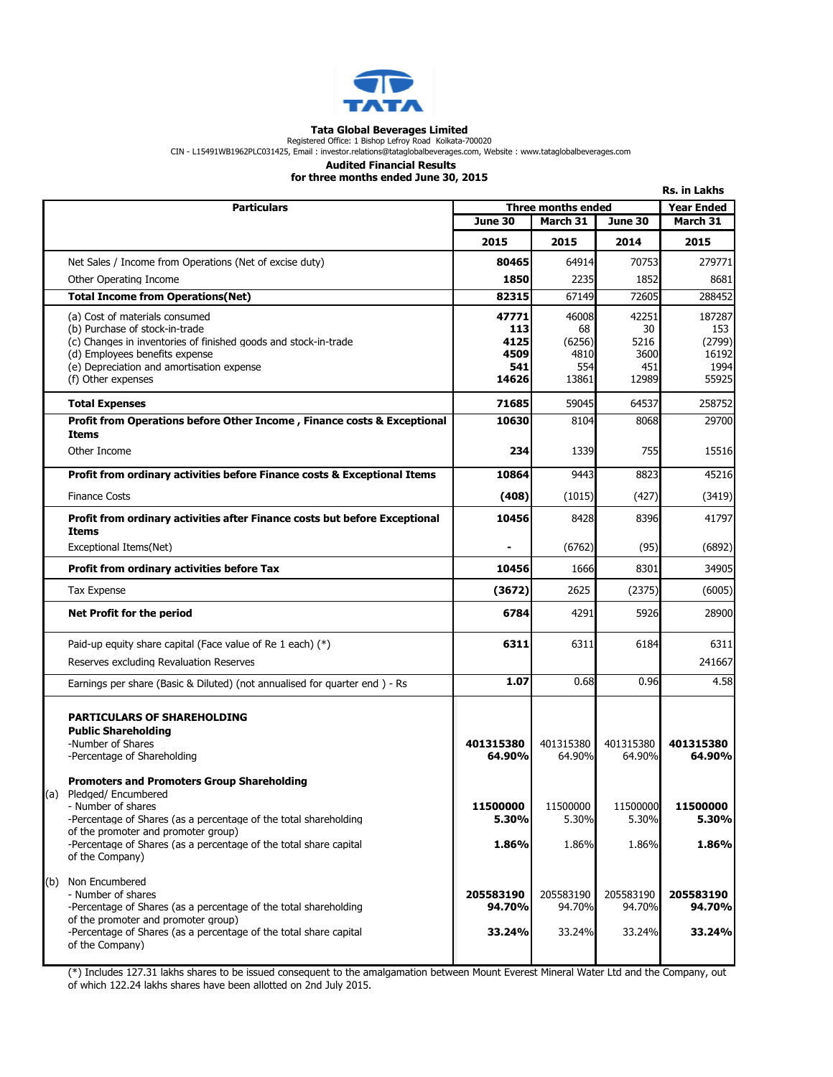

## Tata Global Beverages Limited

Registered Office: 1 Bishop Lefroy Road Kolkata-700020<br>CIN - L15491WB1962PLC031425, Email : investor.relations@tataglobalbeverages.com, Website : www.tataglobalbeverages.com

## Audited Financial Results

for three months ended June 30, 2015

|              |                                                                                                                                                                                                                                                                                                   |                               |                               |                               | <b>Rs. in Lakhs</b>           |
|--------------|---------------------------------------------------------------------------------------------------------------------------------------------------------------------------------------------------------------------------------------------------------------------------------------------------|-------------------------------|-------------------------------|-------------------------------|-------------------------------|
|              | <b>Particulars</b>                                                                                                                                                                                                                                                                                | Three months ended            |                               |                               | <b>Year Ended</b>             |
|              |                                                                                                                                                                                                                                                                                                   | June 30                       | March 31                      | June 30                       | March 31                      |
|              |                                                                                                                                                                                                                                                                                                   | 2015                          | 2015                          | 2014                          | 2015                          |
|              | Net Sales / Income from Operations (Net of excise duty)                                                                                                                                                                                                                                           | 80465                         | 64914                         | 70753                         | 279771                        |
|              | Other Operating Income                                                                                                                                                                                                                                                                            | 1850                          | 2235                          | 1852                          | 8681                          |
|              | <b>Total Income from Operations(Net)</b>                                                                                                                                                                                                                                                          | 82315                         | 67149                         | 72605                         | 288452                        |
|              | (a) Cost of materials consumed                                                                                                                                                                                                                                                                    | 47771                         | 46008                         | 42251                         | 187287                        |
|              | (b) Purchase of stock-in-trade                                                                                                                                                                                                                                                                    | 113                           | 68                            | 30                            | 153                           |
|              | (c) Changes in inventories of finished goods and stock-in-trade<br>(d) Employees benefits expense                                                                                                                                                                                                 | 4125<br>4509                  | (6256)<br>4810                | 5216<br>3600                  | (2799)<br>16192               |
|              | (e) Depreciation and amortisation expense                                                                                                                                                                                                                                                         | 541                           | 554                           | 451                           | 1994                          |
|              | (f) Other expenses                                                                                                                                                                                                                                                                                | 14626                         | 13861                         | 12989                         | 55925                         |
|              | <b>Total Expenses</b>                                                                                                                                                                                                                                                                             | 71685                         | 59045                         | 64537                         | 258752                        |
|              | Profit from Operations before Other Income, Finance costs & Exceptional                                                                                                                                                                                                                           | 10630                         | 8104                          | 8068                          | 29700                         |
| <b>Items</b> |                                                                                                                                                                                                                                                                                                   |                               |                               |                               |                               |
|              | Other Income                                                                                                                                                                                                                                                                                      | 234                           | 1339                          | 755                           | 15516                         |
|              | Profit from ordinary activities before Finance costs & Exceptional Items                                                                                                                                                                                                                          | 10864                         | 9443                          | 8823                          | 45216                         |
|              | <b>Finance Costs</b>                                                                                                                                                                                                                                                                              | (408)                         | (1015)                        | (427)                         | (3419)                        |
| <b>Items</b> | Profit from ordinary activities after Finance costs but before Exceptional                                                                                                                                                                                                                        | 10456                         | 8428                          | 8396                          | 41797                         |
|              | Exceptional Items(Net)                                                                                                                                                                                                                                                                            |                               | (6762)                        | (95)                          | (6892)                        |
|              | Profit from ordinary activities before Tax                                                                                                                                                                                                                                                        | 10456                         | 1666                          | 8301                          | 34905                         |
|              | <b>Tax Expense</b>                                                                                                                                                                                                                                                                                | (3672)                        | 2625                          | (2375)                        | (6005)                        |
|              | Net Profit for the period                                                                                                                                                                                                                                                                         | 6784                          | 4291                          | 5926                          | 28900                         |
|              | Paid-up equity share capital (Face value of Re 1 each) $(*)$                                                                                                                                                                                                                                      | 6311                          | 6311                          | 6184                          | 6311                          |
|              | Reserves excluding Revaluation Reserves                                                                                                                                                                                                                                                           |                               |                               |                               | 241667                        |
|              | Earnings per share (Basic & Diluted) (not annualised for quarter end) - Rs                                                                                                                                                                                                                        | 1.07                          | 0.68                          | 0.96                          | 4.58                          |
|              | <b>PARTICULARS OF SHAREHOLDING</b><br><b>Public Shareholding</b><br>-Number of Shares<br>-Percentage of Shareholding                                                                                                                                                                              | 401315380<br>64.90%           | 401315380<br>64.90%           | 401315380<br>64.90%           | 401315380<br>64.90%           |
| (a)          | <b>Promoters and Promoters Group Shareholding</b><br>Pledged/ Encumbered<br>- Number of shares<br>-Percentage of Shares (as a percentage of the total shareholding<br>of the promoter and promoter group)<br>-Percentage of Shares (as a percentage of the total share capital<br>of the Company) | 11500000<br>5.30%<br>1.86%    | 11500000<br>5.30%<br>1.86%    | 11500000<br>5.30%<br>1.86%    | 11500000<br>5.30%<br>1.86%    |
| (b)          | Non Encumbered<br>- Number of shares<br>-Percentage of Shares (as a percentage of the total shareholding<br>of the promoter and promoter group)<br>-Percentage of Shares (as a percentage of the total share capital<br>of the Company)                                                           | 205583190<br>94.70%<br>33.24% | 205583190<br>94.70%<br>33.24% | 205583190<br>94.70%<br>33.24% | 205583190<br>94.70%<br>33.24% |

(\*) Includes 127.31 lakhs shares to be issued consequent to the amalgamation between Mount Everest Mineral Water Ltd and the Company, out of which 122.24 lakhs shares have been allotted on 2nd July 2015.